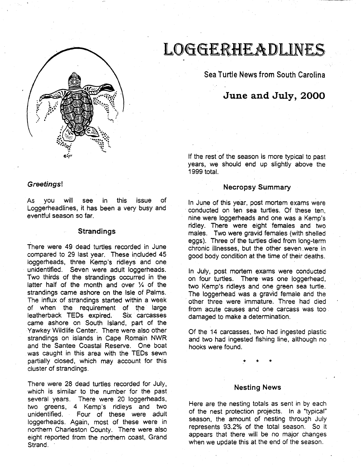

# Greetings!

As you will see in this issue of Loggerheadlines, it has been a very busy and eventful season so far.

# **Strandings**

There were 49 dead turtles recorded in June compared to 29 last year. These included 45 loggerheads, three Kemp's ridleys and one unidentified. Seven were adult loggerheads. Two thirds of the strandings occurred in the latter half of the month and over  $\frac{1}{4}$  of the strandings came ashore on the Isle of Palms. The influx of strandings started within a week of when the requirement of the large<br>leatherback TEDs expired. Six carcasses leatherback TEDs expired. came ashore on South Island, part of the Yawkey Wildlife Center. There were also other strandings on islands in Cape Romain NWR and the Santee Coastal Reserve. One boat was caught in this area with the TEDs sewn partially closed, which may account for this cluster of strandings.

There were 28 dead turtles recorded for July, which is similar to the number for the past several years. There were 20 loggerheads, two greens, 4 Kemp's ridleys and two unidentified. Four of these were adult loggerheads. Again, most of these were in northern Charleston County. There were also eight reported from the northern coast, Grand Strand.

# L066£RHEADUNES

Sea Turtle News from South Carolina

# **June and July, 2000**

If the rest of the season is more typical to past years, we should end up slightly above the 1999 total.

#### Necropsy Summary

In June of this year, post mortem exams were conducted on ten sea turtles. Of these ten, nine were loggerheads and one was a Kemp's ridley. There were eight females and two males. Two were gravid females (with shelled eggs). Three of the turtles died from long-term chronic illnesses, but the other seven were in good body condition at the time of their deaths.

In July, post mortem exams were conducted on four turtles. There was one loggerhead, two Kemp's ridleys and one green sea turtle. The loggerhead was a gravid female and the other three were immature. Three had died from acute causes and one carcass was too damaged to make a determination.

Of the 14 carcasses, two had ingested plastic and two had ingested fishing line, although no hooks were found.

\* \* \*

#### Nesting News

Here are the nesting totals as sent in by each of the nest protection projects. In a "typical" season, the amount of nesting through July represents 93.2% of the total season. So it appears that there will be no major changes when we update this at the end of the season.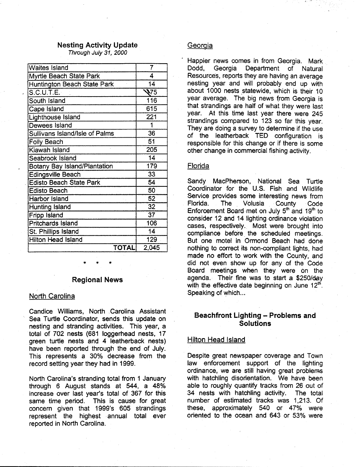#### **Nesting Activity Update**

Through July 31, 2000

| <b>Waites Island</b>                | 7     |
|-------------------------------------|-------|
| Myrtle Beach State Park             | 4     |
| Huntington Beach State Park         | 14    |
| S.C.U.T.E.                          | ২75   |
| South Island                        | 116   |
| Cape Island                         | 615   |
| <b>Lighthouse Island</b>            | 221   |
| <b>Dewees Island</b>                |       |
| Sullivans Island/Isle of Palms      | 36    |
| <b>Folly Beach</b>                  | 51    |
| Kiawah Island                       | 205   |
| Seabrook Island                     | 14    |
| <b>Botany Bay Island/Plantation</b> | 179   |
| <b>Edingsville Beach</b>            | 33    |
| <b>Edisto Beach State Park</b>      | 54    |
| <b>Edisto Beach</b>                 | 50    |
| <b>Harbor Island</b>                | 52    |
| Hunting Island                      | 32    |
| <b>Fripp Island</b>                 | 37    |
| <b>Pritchards Island</b>            | 106   |
| St. Phillips Island                 | 14    |
| <b>Hilton Head Island</b>           | 129   |
| TOTAL                               | 2,045 |

#### **Regional News**

\* \* \*

#### North Carolina

Candice Williams, North . Carolina Assistant Sea Turtle Coordinator, sends this update on nesting and stranding activities. This year, a total of 702 nests (681 loggerhead nests, 17 green turtle nests and 4 leatherback nests) have been reported through the end of July. This represents a 30% decrease from the record setting year they had in 1999.

North Carolina's stranding total from 1 January through 6 August stands at 544, a 48% increase over last year's total of 367 for this same time period. This is cause for great concern given that 1999's 605 strandings represent the highest annual total ever reported in North Carolina.

#### Georgia

Happier news comes in from Georgia. Mark Dodd, Georgia Department of Natural Resources, reports they are having an average nesting year and will probably end up with about 1000 nests statewide, which is their 10 year average. The big news from Georgia is that strandings are half of what they were last year. At this time last year there were 245 strandings compared to 123 so far this year. They are doing a survey to determine if the use of the leatherback TED configuration is responsible for this change or if there is some other change in commercial fishing activity.

#### Florida

Sandy MacPherson, National Sea Turtle Coordinator for the U.S. Fish and Wildlife Service provides some interesting news from Florida. The Volusia County Code Enforcement Board met on July  $5<sup>th</sup>$  and 19<sup>th</sup> to consider 12 and 14 lighting ordinance violation cases, respectively. Most were brought into compliance before the scheduled meetings. But one motel in Ormond Beach had done nothing to correct its non-compliant lights, had made no effort *to* work with the County, and did not even show up for any of the Code Board meetings when they were on the agenda. Their fine was to start *a* \$250/day with the effective date beginning on June  $12<sup>th</sup>$ . Speaking of which...

# **Beachfront Lighting - Problems and Solutions**

# Hilton Head Island

Despite great newspaper coverage and Town law enforcement support of the lighting ordinance, we are still having great problems with hatchling disorientation. We have been able to roughly quantify tracks from 26 out of 34 nests with hatchling activity. The total number of estimated tracks was 1,213. Of these, approximately 540 or 47% were oriented to the ocean and 643 or 53% were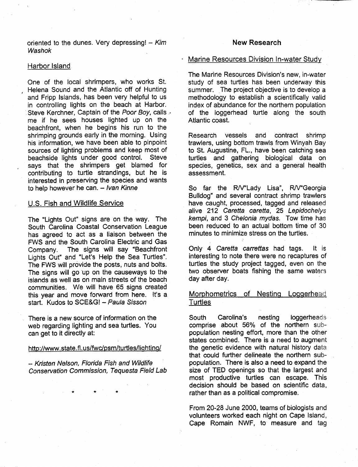oriented to the dunes. Very depressing!  $-$  Kim Washok

#### Harbor Island

One of the local shrimpers, who works St. , Helena Sound and the Atlantic off of Hunting and Fripp Islands, has been very helpful to us in controlling lights on the beach at Harbor. Steve Kerchner, Captain of the Poor Boy, calls me if he sees houses lighted up on the beachfront, when he begins his run to the shrimping grounds early in the morning. Using his information, we have been able to pinpoint sources of lighting problems and keep most of beachside lights under good control. Steve says that the shrimpers get blamed for contributing to turtle strandings, but he is interested in preserving the species and wants to help however he can.  $-$  Ivan Kinne

#### U.S. Fish and Wildlife Service

The "Lights Out" signs are on the way. The South Carolina Coastal Conservation League has agreed to act as a liaison between the FWS and the South Carolina Electric and Gas Company. The signs will say "Beachfront Lights Out" and "Let's Help the Sea Turtles". The FWS will provide the posts, nuts and bolts. The signs will go up on the causeways to the islands as well as on main streets of the beach communities. We will have 65 signs created this year and move forward from here. It's a start. Kudos to SCE&G! - Paula Sisson

There is a new source of information on the web regarding lighting and sea turtles. You can get to it directly at:

# http://www.state.fl.us/fwc/psm/turtles/lighting/

-- Kristen Nelson, Florida Fish and Wildlife Conservation Commission, Tequesta Field Lab

\* \* \*

#### **New Research**

# Marine Resources Division In-water Study

The Marine Resources Division's new, in-water study of sea turtles has been underway this summer. The project objective is to develop a methodology to establish a scientifically valid index of abundance for the northern population of the loggerhead turtle along the south Atlantic coast.

Research vessels and contract shrimp trawlers, using bottom trawls from Winyah Bay to St. Augustine, FL., have been catching sea turtles and gathering biological data on species, genetics, sex and a general health assessment.

So far the R/V"Lady Lisa", R/V"Georgia Bulldog" and several contract shrimp trawlers have caught, processed, tagged and released alive 212 Caretta caretta, 25 Lepidochelys kempi, and 3 Chelonia mydas. Tow time has been reduced to an actual bottom time of 30 minutes to minimize stress on the turtles.

Only 4 Caretta carrettas had tags. It is interesting to note there were no recaptures of turtles the study project tagged, even on the two observer boats fishing the same waters day after day.

# Morphometrics of Nesting Loggerhead **Turtles**

South Carolina's nesting loggerheads comprise about 56% of the northern subpopulation nesting effort, more than the other states combined. There is a need to augment the genetic evidence with natural history data that could further delineate the northern subpopulation. There is also a need to expand the size of TED openings so that the largest and most productive turtles can escape. This decision should be based on scientific data, rather than as a political compromise.

From 20-28 June 2000, teams of biologists and volunteers worked each night on Cape Island, Cape Romain NWF, to measure and tag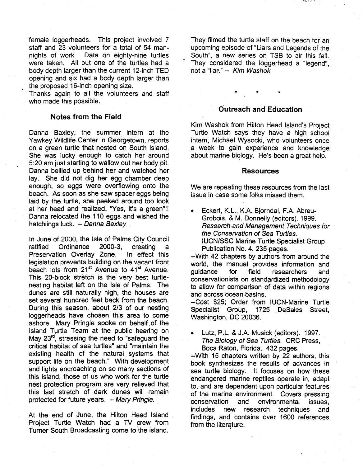female loggerheads. This project involved 7 staff and 23 volunteers for a total of 54 mannights of work. Data on eighty-nine turtles were taken. All but one of the turtles had a body depth larger than the current 12-inch TED opening and six had a body depth larger than the proposed 16-inch opening size.

Thanks again to all the volunteers and staff who made this possible.

# **Notes from the Field**

Danna Baxley, the summer intern at the Yawkey Wildlife Center in Georgetown, reports on a green turtle that nested on South Island. She was lucky enough to catch her around 5:20 am just starting to wallow out her body pit. Danna bellied up behind her and watched her lay. She did not dig her egg chamber deep enough, so eggs were overflowing onto the beach. As soon as she saw spacer eggs being laid by the turtle, she peeked around too look at her head and realized, "Yes, it's a green"!! Danna relocated the 110 eggs and wished the hatchlings luck.  $-Danna$  Baxley

In June of 2000, the Isle of Palms City Council ratified Ordinance 2000-3, creating a Preservation Overlay Zone. In effect this legislation prevents building on the vacant front beach lots from 21<sup>st</sup> Avenue to 41<sup>st</sup> Avenue. This 20-block stretch is the very best turtlenesting habitat left on the Isle of Palms. The dunes are still naturally high, the houses are set several hundred feet back from the beach. During this season, about 2/3 of our nesting loggerheads have chosen this area to come ashore Mary Pringle spoke on behalf. of the Island Turtle Team at the public hearing on May 23<sup>rd</sup>, stressing the need to "safeguard the critical habitat of sea turtles" and "maintain the existing health of the natural systems that support life on the beach." With development and lights encroaching on so many sections of. this island, those of us who work for the turtle nest protection program are very relieved that this last stretch of dark dunes will remain protected for future years. - Mary Pringle.

At the end of June, the Hilton Head Island Project Turtle Watch had a TV crew from Turner South Broadcasting come to the island. They filmed the turtle staff on the beach for an upcoming episode of "Liars and Legends of the South", a new series on TSB to air this fall. They considered the loggerhead a "legend", not a "liar."-- Kim Washok

#### **Outreach and Education**

\* \* \*

Kim Washok from Hilton Head Island's Project Turtle Watch says they have a high school intern, Michael Wysocki, who volunteers once a week to gain experience and knowledge about marine biology. He's been a great help.

#### **Resources**

We are repeating these resources from the last issue in case some folks missed them.

• Eckert, K. L., K.A. Bjorndal, F .A. Abreu-Grobois, & M. Donnelly (editors). 1999. Research and Management Techniques for the Conservation of Sea Turtles. IUCN/SSC Marine Turtle Specialist Group Publication No. 4. 235 pages.

--With 42 chapters by authors from around the world, the manual provides information and quidance for field researchers and conservationists on standardized methodology to allow for comparison of data within regions and across ocean basins.

--Cost \$25; Order from IUGN-Marine Turtle Specialist Group, 1725 DeSales Street, Washington, DC 20036.

• Lutz, P.L. & J.A. Musick (editors). 1997. The Biology of Sea Turtles. CRC Press, Boca Raton, Florida. 432 pages.

--With 15 chapters written by 22 authors, this book synthesizes the results of advances in sea turtle biology. It focuses on how these endangered marine reptiles operate in, adapt to, and are dependent upon particular features of the marine environment. Covers pressing conservation and environmental issues, includes new research techniques and findings, and contains over 1600 references from the literature.